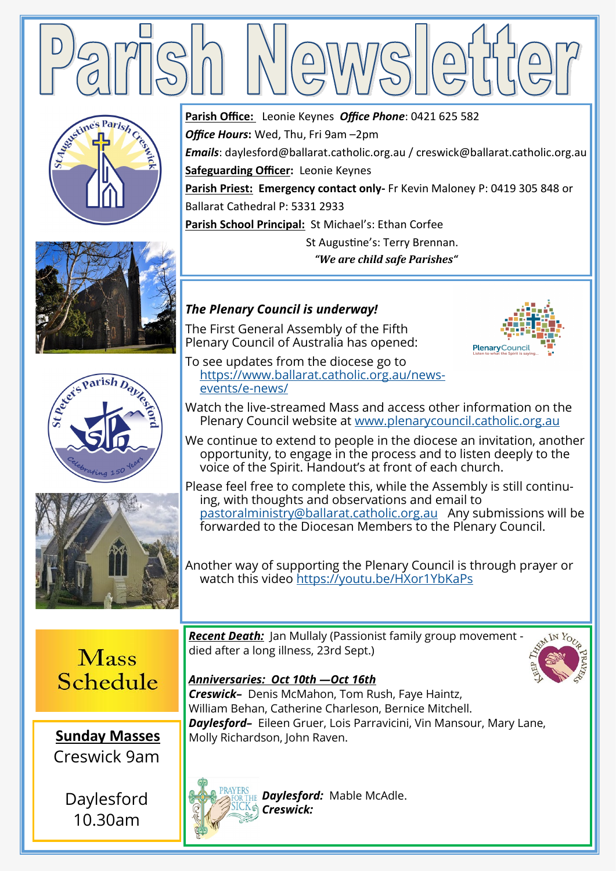

*Office Hours***:** Wed, Thu, Fri 9am –2pm

**Safeguarding Officer:** Leonie Keynes

Ballarat Cathedral P: 5331 2933

**Parish Office:** Leonie Keynes *Office Phone*: 0421 625 582







*The Plenary Council is underway!* The First General Assembly of the Fifth Plenary Council of Australia has opened:



To see updates from the diocese go to [https://www.ballarat.catholic.org.au/news](https://www.ballarat.catholic.org.au/news-events/e-news/)[events/e](https://www.ballarat.catholic.org.au/news-events/e-news/)-news/

**Parish School Principal:** St Michael's: Ethan Corfee

Watch the live-streamed Mass and access other information on the Plenary Council website at [www.plenarycouncil.catholic.org.au](http://www.plenarycouncil.catholic.org.au)

*Emails*: daylesford@ballarat.catholic.org.au / creswick@ballarat.catholic.org.au

**Parish Priest: Emergency contact only-** Fr Kevin Maloney P: 0419 305 848 or

 St Augustine's: Terry Brennan. *"We are child safe Parishes"*

We continue to extend to people in the diocese an invitation, another opportunity, to engage in the process and to listen deeply to the voice of the Spirit. Handout's at front of each church.

Please feel free to complete this, while the Assembly is still continuing, with thoughts and observations and email to [pastoralministry@ballarat.catholic.org.au](mailto:pastoralministry@ballarat.catholic.org.au) Any submissions will be forwarded to the Diocesan Members to the Plenary Council.

Another way of supporting the Plenary Council is through prayer or watch this video <https://youtu.be/HXor1YbKaPs>

**Mass** Schedule



Daylesford 10.30am

*Recent Death:* Jan Mullaly (Passionist family group movement died after a long illness, 23rd Sept.)



*Anniversaries: Oct 10th —Oct 16th Creswick–* Denis McMahon, Tom Rush, Faye Haintz, William Behan, Catherine Charleson, Bernice Mitchell. *Daylesford–* Eileen Gruer, Lois Parravicini, Vin Mansour, Mary Lane, Molly Richardson, John Raven.



*Daylesford:* Mable McAdle. *Creswick:*